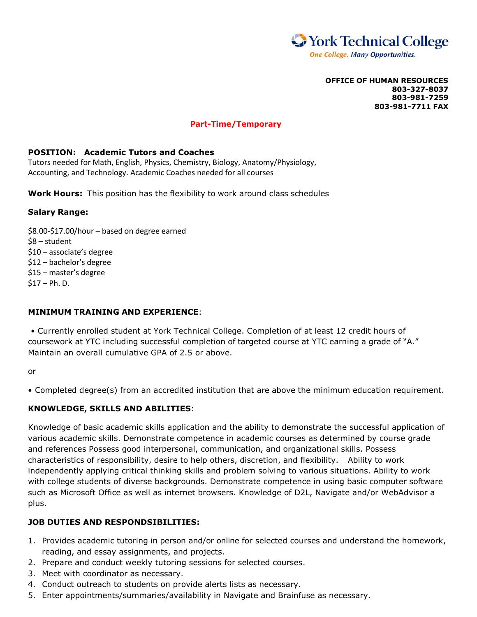

**OFFICE OF HUMAN RESOURCES 803-327-8037 803-981-7259 803-981-7711 FAX**

# **Part-Time/Temporary**

## **POSITION: Academic Tutors and Coaches**

Tutors needed for Math, English, Physics, Chemistry, Biology, Anatomy/Physiology, Accounting, and Technology. Academic Coaches needed for all courses

**Work Hours:** This position has the flexibility to work around class schedules

### **Salary Range:**

\$8.00-\$17.00/hour – based on degree earned \$8 – student \$10 – associate's degree \$12 – bachelor's degree \$15 – master's degree  $$17 - Ph. D.$ 

## **MINIMUM TRAINING AND EXPERIENCE**:

• Currently enrolled student at York Technical College. Completion of at least 12 credit hours of coursework at YTC including successful completion of targeted course at YTC earning a grade of "A." Maintain an overall cumulative GPA of 2.5 or above.

or

• Completed degree(s) from an accredited institution that are above the minimum education requirement.

# **KNOWLEDGE, SKILLS AND ABILITIES**:

Knowledge of basic academic skills application and the ability to demonstrate the successful application of various academic skills. Demonstrate competence in academic courses as determined by course grade and references Possess good interpersonal, communication, and organizational skills. Possess characteristics of responsibility, desire to help others, discretion, and flexibility. Ability to work independently applying critical thinking skills and problem solving to various situations. Ability to work with college students of diverse backgrounds. Demonstrate competence in using basic computer software such as Microsoft Office as well as internet browsers. Knowledge of D2L, Navigate and/or WebAdvisor a plus.

# **JOB DUTIES AND RESPONDSIBILITIES:**

- 1. Provides academic tutoring in person and/or online for selected courses and understand the homework, reading, and essay assignments, and projects.
- 2. Prepare and conduct weekly tutoring sessions for selected courses.
- 3. Meet with coordinator as necessary.
- 4. Conduct outreach to students on provide alerts lists as necessary.
- 5. Enter appointments/summaries/availability in Navigate and Brainfuse as necessary.